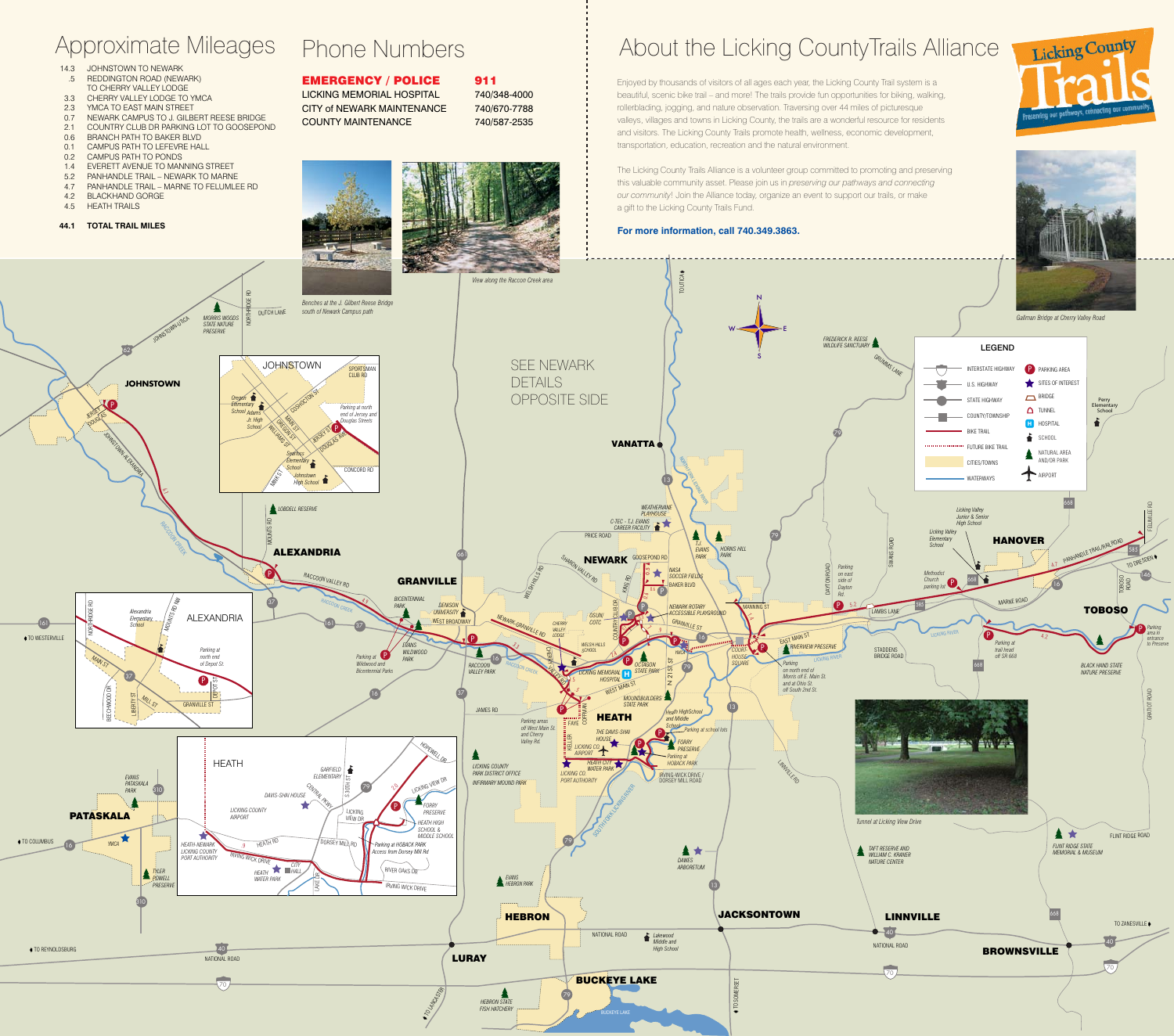## EMERGENCY / POLICE 911 LICKING MEMORIAL HOSPITAL 740/348-4000 CITY of NEWARK MAINTENANCE 740/670-7788 COUNTY MAINTENANCE 740/587-2535

# Approximate Mileages Phone Numbers **About the Licking CountyTrails Alliance**

- 14.3 JOHNSTOWN TO NEWARK .5 REDDINGTON ROAD (NEWARK)
- TO CHERRY VALLEY LODGE 3.3 CHERRY VALLEY LODGE TO YMCA
- 2.3 YMCA TO EAST MAIN STREET
- 0.7 NEWARK CAMPUS TO J. GILBERT REESE BRIDGE<br>2.1 COUNTRY CLUB DR PARKING LOT TO GOOSEPON
- 2.1 COUNTRY CLUB DR PARKING LOT TO GOOSEPOND
- 0.6 BRANCH PATH TO BAKER BLVD
- 0.1 CAMPUS PATH TO LEFEVRE HALL
- 0.2 CAMPUS PATH TO PONDS
- 1.4 EVERETT AVENUE TO MANNING STREET
- 5.2 PANHANDLE TRAIL NEWARK TO MARNE
- 4.7 PANHANDLE TRAIL MARNE TO FELUMLEE RD 4.2 BLACKHAND GORGE
- 4.5 HEATH TRAILS
- **44.1 TOTAL TRAIL MILES**









Enjoyed by thousands of visitors of all ages each year, the Licking County Trail system is a beautiful, scenic bike trail – and more! The trails provide fun opportunities for biking, walking, rollerblading, jogging, and nature observation. Traversing over 44 miles of picturesque valleys, villages and towns in Licking County, the trails are a wonderful resource for residents and visitors. The Licking County Trails promote health, wellness, economic development, transportation, education, recreation and the natural environment.

The Licking County Trails Alliance is a volunteer group committed to promoting and preserving this valuable community asset. Please join us in *preserving our pathways and connecting our community*! Join the Alliance today, organize an event to support our trails, or make a gift to the Licking County Trails Fund.

### **For more information, call 740.349.3863.**